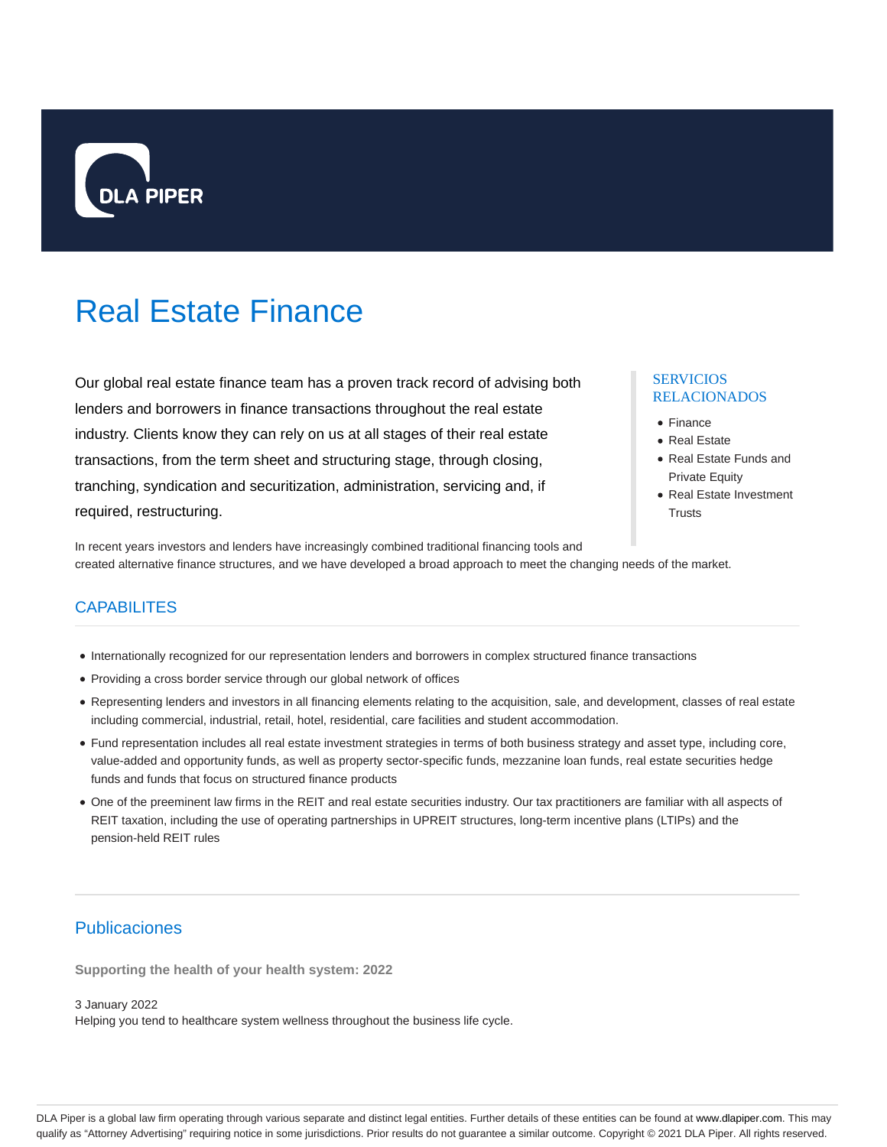

# Real Estate Finance

Our global real estate finance team has a proven track record of advising both lenders and borrowers in finance transactions throughout the real estate industry. Clients know they can rely on us at all stages of their real estate transactions, from the term sheet and structuring stage, through closing, tranching, syndication and securitization, administration, servicing and, if required, restructuring.

## SERVICIOS RELACIONADOS

- Finance
- Real Estate
- Real Estate Funds and Private Equity
- Real Estate Investment **Trusts**

In recent years investors and lenders have increasingly combined traditional financing tools and created alternative finance structures, and we have developed a broad approach to meet the changing needs of the market.

# **CAPABILITES**

- Internationally recognized for our representation lenders and borrowers in complex structured finance transactions
- Providing a cross border service through our global network of offices
- Representing lenders and investors in all financing elements relating to the acquisition, sale, and development, classes of real estate including commercial, industrial, retail, hotel, residential, care facilities and student accommodation.
- Fund representation includes all real estate investment strategies in terms of both business strategy and asset type, including core, value-added and opportunity funds, as well as property sector-specific funds, mezzanine loan funds, real estate securities hedge funds and funds that focus on structured finance products
- One of the preeminent law firms in the REIT and real estate securities industry. Our tax practitioners are familiar with all aspects of REIT taxation, including the use of operating partnerships in UPREIT structures, long-term incentive plans (LTIPs) and the pension-held REIT rules

# Publicaciones

**Supporting the health of your health system: 2022**

3 January 2022

Helping you tend to healthcare system wellness throughout the business life cycle.